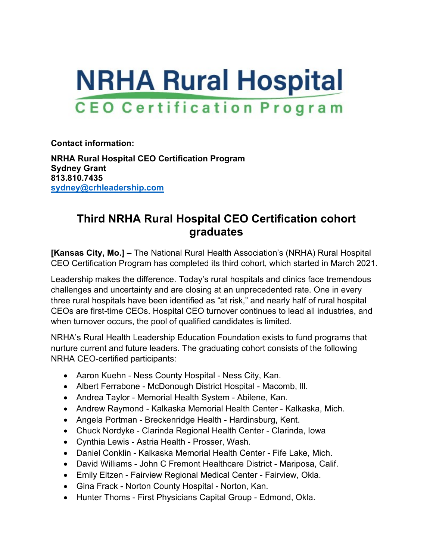

**Contact information:**

**NRHA Rural Hospital CEO Certification Program Sydney Grant 813.810.7435 [sydney@crhleadership.com](mailto:sydney@crhleadership.com)**

## **Third NRHA Rural Hospital CEO Certification cohort graduates**

**[Kansas City, Mo.] –** The National Rural Health Association's (NRHA) Rural Hospital CEO Certification Program has completed its third cohort, which started in March 2021.

Leadership makes the difference. Today's rural hospitals and clinics face tremendous challenges and uncertainty and are closing at an unprecedented rate. One in every three rural hospitals have been identified as "at risk," and nearly half of rural hospital CEOs are first-time CEOs. Hospital CEO turnover continues to lead all industries, and when turnover occurs, the pool of qualified candidates is limited.

NRHA's Rural Health Leadership Education Foundation exists to fund programs that nurture current and future leaders. The graduating cohort consists of the following NRHA CEO-certified participants:

- Aaron Kuehn Ness County Hospital Ness City, Kan.
- Albert Ferrabone McDonough District Hospital Macomb, Ill.
- Andrea Taylor Memorial Health System Abilene, Kan.
- Andrew Raymond Kalkaska Memorial Health Center Kalkaska, Mich.
- Angela Portman Breckenridge Health Hardinsburg, Kent.
- Chuck Nordyke Clarinda Regional Health Center Clarinda, Iowa
- Cynthia Lewis Astria Health Prosser, Wash.
- Daniel Conklin Kalkaska Memorial Health Center Fife Lake, Mich.
- David Williams John C Fremont Healthcare District Mariposa, Calif.
- Emily Eitzen Fairview Regional Medical Center Fairview, Okla.
- Gina Frack Norton County Hospital Norton, Kan.
- Hunter Thoms First Physicians Capital Group Edmond, Okla.